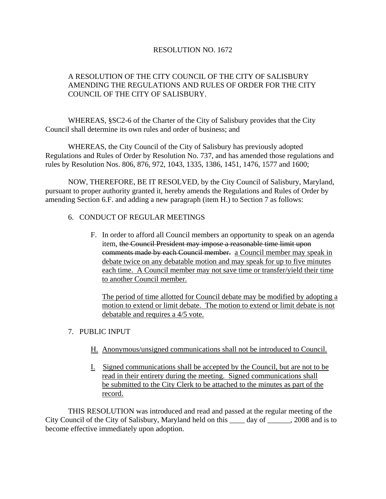### RESOLUTION NO. 1672

## A RESOLUTION OF THE CITY COUNCIL OF THE CITY OF SALISBURY AMENDING THE REGULATIONS AND RULES OF ORDER FOR THE CITY COUNCIL OF THE CITY OF SALISBURY.

 WHEREAS, §SC2-6 of the Charter of the City of Salisbury provides that the City Council shall determine its own rules and order of business; and

 WHEREAS, the City Council of the City of Salisbury has previously adopted Regulations and Rules of Order by Resolution No. 737, and has amended those regulations and rules by Resolution Nos. 806, 876, 972, 1043, 1335, 1386, 1451, 1476, 1577 and 1600;

 NOW, THEREFORE, BE IT RESOLVED, by the City Council of Salisbury, Maryland, pursuant to proper authority granted it, hereby amends the Regulations and Rules of Order by amending Section 6.F. and adding a new paragraph (item H.) to Section 7 as follows:

#### 6. CONDUCT OF REGULAR MEETINGS

F. In order to afford all Council members an opportunity to speak on an agenda item, the Council President may impose a reasonable time limit upon comments made by each Council member. a Council member may speak in debate twice on any debatable motion and may speak for up to five minutes each time. A Council member may not save time or transfer/yield their time to another Council member.

The period of time allotted for Council debate may be modified by adopting a motion to extend or limit debate. The motion to extend or limit debate is not debatable and requires a 4/5 vote.

## 7. PUBLIC INPUT

- H. Anonymous/unsigned communications shall not be introduced to Council.
- I. Signed communications shall be accepted by the Council, but are not to be read in their entirety during the meeting. Signed communications shall be submitted to the City Clerk to be attached to the minutes as part of the record.

 THIS RESOLUTION was introduced and read and passed at the regular meeting of the City Council of the City of Salisbury, Maryland held on this day of 2008 and is to become effective immediately upon adoption.